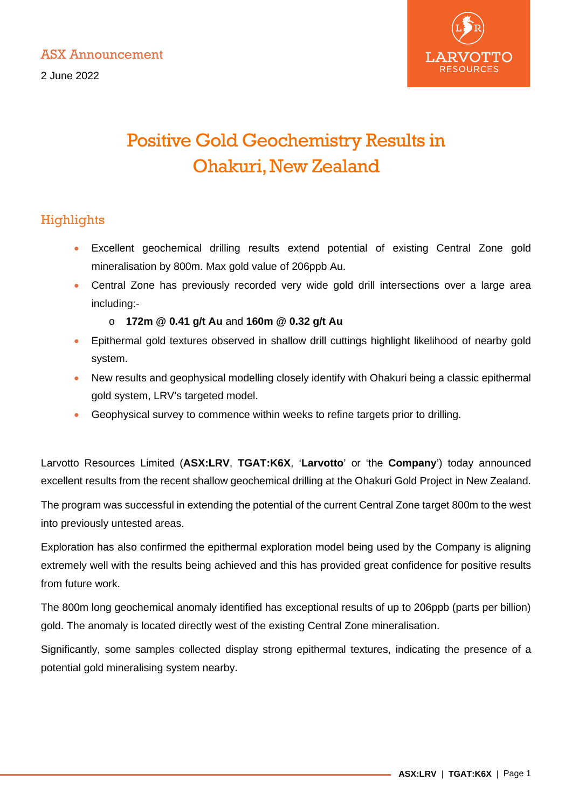2 June 2022



# Positive Gold Geochemistry Results in Ohakuri, New Zealand

# **Highlights**

- Excellent geochemical drilling results extend potential of existing Central Zone gold mineralisation by 800m. Max gold value of 206ppb Au.
- Central Zone has previously recorded very wide gold drill intersections over a large area including:
	- o **172m @ 0.41 g/t Au** and **160m @ 0.32 g/t Au**
- Epithermal gold textures observed in shallow drill cuttings highlight likelihood of nearby gold system.
- New results and geophysical modelling closely identify with Ohakuri being a classic epithermal gold system, LRV's targeted model.
- Geophysical survey to commence within weeks to refine targets prior to drilling.

Larvotto Resources Limited (**ASX:LRV**, **TGAT:K6X**, '**Larvotto**' or 'the **Company**') today announced excellent results from the recent shallow geochemical drilling at the Ohakuri Gold Project in New Zealand.

The program was successful in extending the potential of the current Central Zone target 800m to the west into previously untested areas.

Exploration has also confirmed the epithermal exploration model being used by the Company is aligning extremely well with the results being achieved and this has provided great confidence for positive results from future work.

The 800m long geochemical anomaly identified has exceptional results of up to 206ppb (parts per billion) gold. The anomaly is located directly west of the existing Central Zone mineralisation.

Significantly, some samples collected display strong epithermal textures, indicating the presence of a potential gold mineralising system nearby.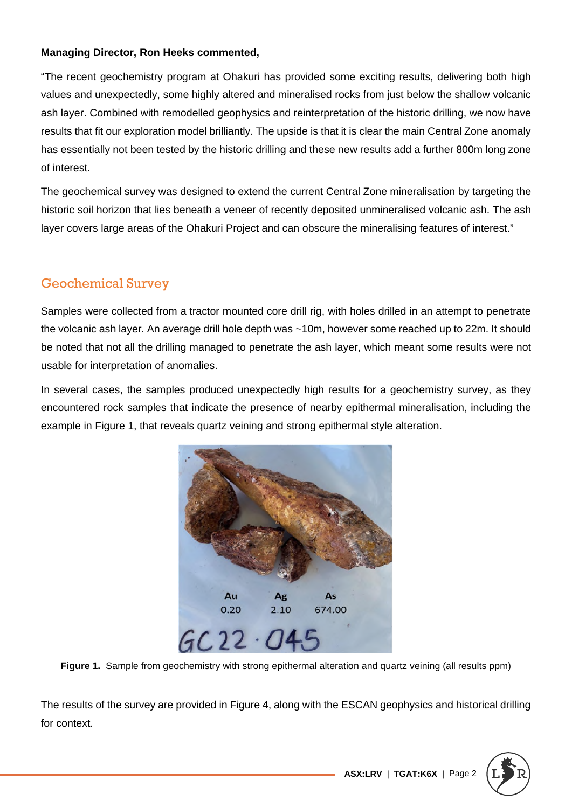#### **Managing Director, Ron Heeks commented,**

"The recent geochemistry program at Ohakuri has provided some exciting results, delivering both high values and unexpectedly, some highly altered and mineralised rocks from just below the shallow volcanic ash layer. Combined with remodelled geophysics and reinterpretation of the historic drilling, we now have results that fit our exploration model brilliantly. The upside is that it is clear the main Central Zone anomaly has essentially not been tested by the historic drilling and these new results add a further 800m long zone of interest.

The geochemical survey was designed to extend the current Central Zone mineralisation by targeting the historic soil horizon that lies beneath a veneer of recently deposited unmineralised volcanic ash. The ash layer covers large areas of the Ohakuri Project and can obscure the mineralising features of interest."

# Geochemical Survey

Samples were collected from a tractor mounted core drill rig, with holes drilled in an attempt to penetrate the volcanic ash layer. An average drill hole depth was ~10m, however some reached up to 22m. It should be noted that not all the drilling managed to penetrate the ash layer, which meant some results were not usable for interpretation of anomalies.

In several cases, the samples produced unexpectedly high results for a geochemistry survey, as they encountered rock samples that indicate the presence of nearby epithermal mineralisation, including the example in Figure 1, that reveals quartz veining and strong epithermal style alteration.



Figure 1. Sample from geochemistry with strong epithermal alteration and quartz veining (all results ppm)

The results of the survey are provided in Figure 4, along with the ESCAN geophysics and historical drilling for context.

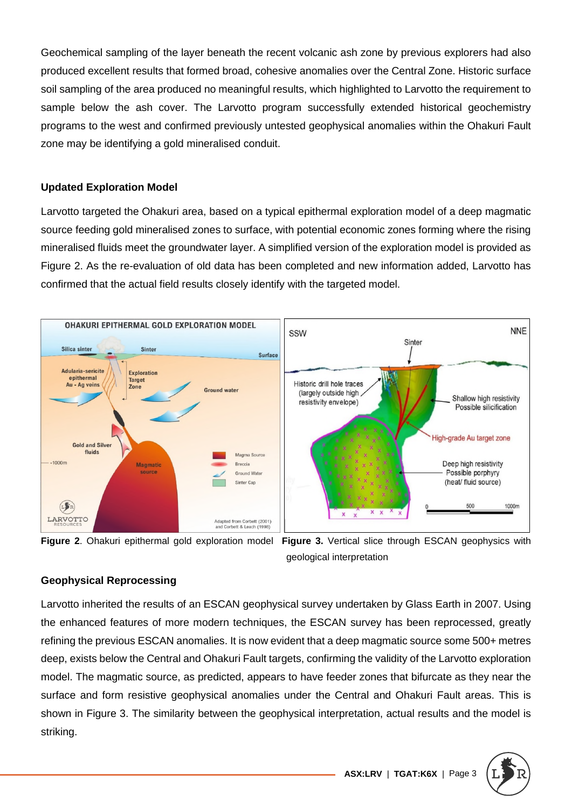Geochemical sampling of the layer beneath the recent volcanic ash zone by previous explorers had also produced excellent results that formed broad, cohesive anomalies over the Central Zone. Historic surface soil sampling of the area produced no meaningful results, which highlighted to Larvotto the requirement to sample below the ash cover. The Larvotto program successfully extended historical geochemistry programs to the west and confirmed previously untested geophysical anomalies within the Ohakuri Fault zone may be identifying a gold mineralised conduit.

#### **Updated Exploration Model**

Larvotto targeted the Ohakuri area, based on a typical epithermal exploration model of a deep magmatic source feeding gold mineralised zones to surface, with potential economic zones forming where the rising mineralised fluids meet the groundwater layer. A simplified version of the exploration model is provided as Figure 2. As the re-evaluation of old data has been completed and new information added, Larvotto has confirmed that the actual field results closely identify with the targeted model.





**Figure 2**. Ohakuri epithermal gold exploration model **Figure 3.** Vertical slice through ESCAN geophysics with geological interpretation

#### **Geophysical Reprocessing**

Larvotto inherited the results of an ESCAN geophysical survey undertaken by Glass Earth in 2007. Using the enhanced features of more modern techniques, the ESCAN survey has been reprocessed, greatly refining the previous ESCAN anomalies. It is now evident that a deep magmatic source some 500+ metres deep, exists below the Central and Ohakuri Fault targets, confirming the validity of the Larvotto exploration model. The magmatic source, as predicted, appears to have feeder zones that bifurcate as they near the surface and form resistive geophysical anomalies under the Central and Ohakuri Fault areas. This is shown in Figure 3. The similarity between the geophysical interpretation, actual results and the model is striking.

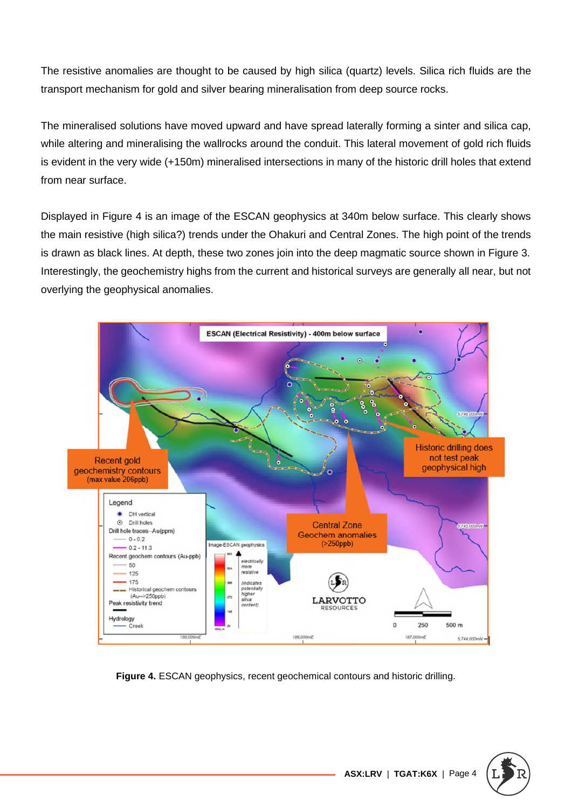The resistive anomalies are thought to be caused by high silica (quartz) levels. Silica rich fluids are the transport mechanism for gold and silver bearing mineralisation from deep source rocks.

The mineralised solutions have moved upward and have spread laterally forming a sinter and silica cap, while altering and mineralising the wallrocks around the conduit. This lateral movement of gold rich fluids is evident in the very wide (+150m) mineralised intersections in many of the historic drill holes that extend from near surface.

Displayed in Figure 4 is an image of the ESCAN geophysics at 340m below surface. This clearly shows the main resistive (high silica?) trends under the Ohakuri and Central Zones. The high point of the trends is drawn as black lines. At depth, these two zones join into the deep magmatic source shown in Figure 3. Interestingly, the geochemistry highs from the current and historical surveys are generally all near, but not overlying the geophysical anomalies.



**Figure 4.** ESCAN geophysics, recent geochemical contours and historic drilling.

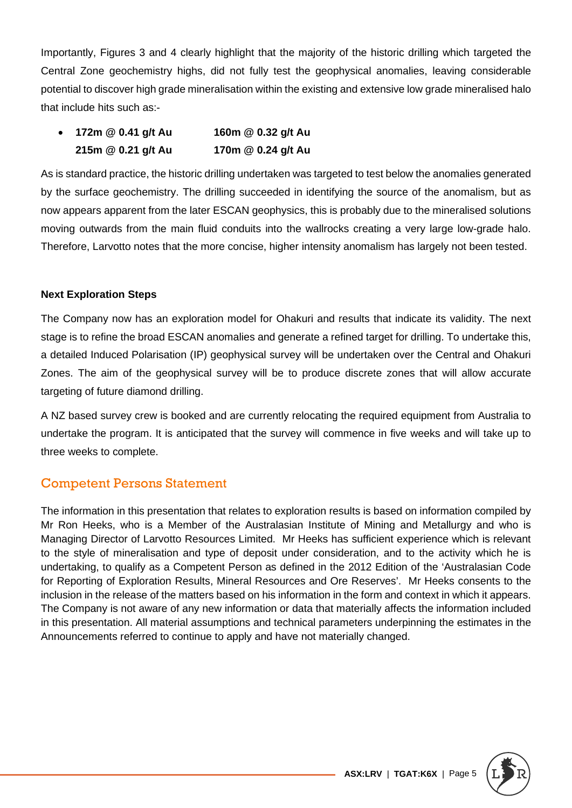Importantly, Figures 3 and 4 clearly highlight that the majority of the historic drilling which targeted the Central Zone geochemistry highs, did not fully test the geophysical anomalies, leaving considerable potential to discover high grade mineralisation within the existing and extensive low grade mineralised halo that include hits such as:-

| $\bullet$ | 172m @ 0.41 g/t Au | 160m @ 0.32 g/t Au |
|-----------|--------------------|--------------------|
|           | 215m @ 0.21 g/t Au | 170m @ 0.24 g/t Au |

As is standard practice, the historic drilling undertaken was targeted to test below the anomalies generated by the surface geochemistry. The drilling succeeded in identifying the source of the anomalism, but as now appears apparent from the later ESCAN geophysics, this is probably due to the mineralised solutions moving outwards from the main fluid conduits into the wallrocks creating a very large low-grade halo. Therefore, Larvotto notes that the more concise, higher intensity anomalism has largely not been tested.

#### **Next Exploration Steps**

The Company now has an exploration model for Ohakuri and results that indicate its validity. The next stage is to refine the broad ESCAN anomalies and generate a refined target for drilling. To undertake this, a detailed Induced Polarisation (IP) geophysical survey will be undertaken over the Central and Ohakuri Zones. The aim of the geophysical survey will be to produce discrete zones that will allow accurate targeting of future diamond drilling.

A NZ based survey crew is booked and are currently relocating the required equipment from Australia to undertake the program. It is anticipated that the survey will commence in five weeks and will take up to three weeks to complete.

### Competent Persons Statement

The information in this presentation that relates to exploration results is based on information compiled by Mr Ron Heeks, who is a Member of the Australasian Institute of Mining and Metallurgy and who is Managing Director of Larvotto Resources Limited. Mr Heeks has sufficient experience which is relevant to the style of mineralisation and type of deposit under consideration, and to the activity which he is undertaking, to qualify as a Competent Person as defined in the 2012 Edition of the 'Australasian Code for Reporting of Exploration Results, Mineral Resources and Ore Reserves'. Mr Heeks consents to the inclusion in the release of the matters based on his information in the form and context in which it appears. The Company is not aware of any new information or data that materially affects the information included in this presentation. All material assumptions and technical parameters underpinning the estimates in the Announcements referred to continue to apply and have not materially changed.

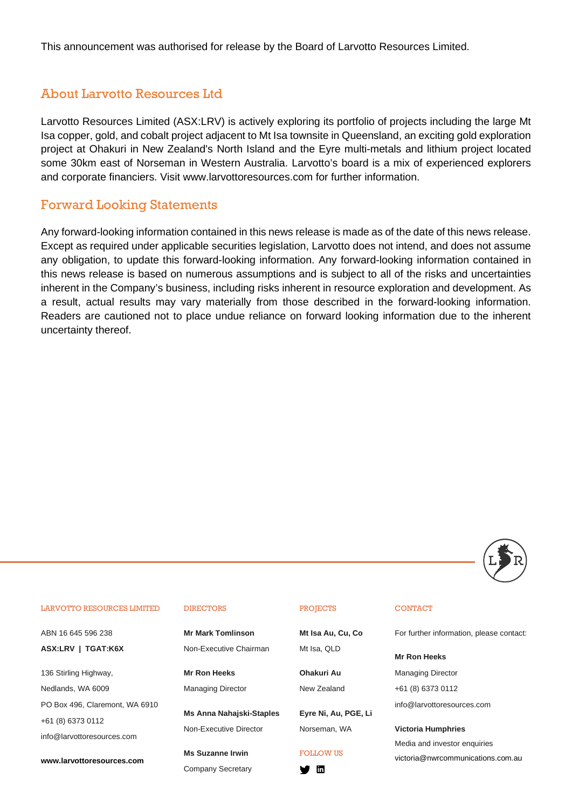This announcement was authorised for release by the Board of Larvotto Resources Limited.

### About Larvotto Resources Ltd

Larvotto Resources Limited (ASX:LRV) is actively exploring its portfolio of projects including the large Mt Isa copper, gold, and cobalt project adjacent to Mt Isa townsite in Queensland, an exciting gold exploration project at Ohakuri in New Zealand's North Island and the Eyre multi-metals and lithium project located some 30km east of Norseman in Western Australia. Larvotto's board is a mix of experienced explorers and corporate financiers. Visit www.larvottoresources.com for further information.

### Forward Looking Statements

Any forward-looking information contained in this news release is made as of the date of this news release. Except as required under applicable securities legislation, Larvotto does not intend, and does not assume any obligation, to update this forward-looking information. Any forward-looking information contained in this news release is based on numerous assumptions and is subject to all of the risks and uncertainties inherent in the Company's business, including risks inherent in resource exploration and development. As a result, actual results may vary materially from those described in the forward-looking information. Readers are cautioned not to place undue reliance on forward looking information due to the inherent uncertainty thereof.



#### LARVOTTO RESOURCES LIMITED

ABN 16 645 596 238 **ASX:LRV | TGAT:K6X** 

136 Stirling Highway, Nedlands, WA 6009 PO Box 496, Claremont, WA 6910 +61 (8) 6373 0112 info@larvottoresources.com

**www.larvottoresources.com**

#### **DIRECTORS**

**Mr Mark Tomlinson**  Non-Executive Chairman

**Mr Ron Heeks**  Managing Director

**Ms Anna Nahajski-Staples**  Non-Executive Director

**Ms Suzanne Irwin**  Company Secretary

#### PROJECTS

**Mt Isa Au, Cu, Co**  Mt Isa, QLD

**Ohakuri Au**  New Zealand

**Eyre Ni, Au, PGE, Li**  Norseman, WA

#### FOLLOW US

V m

#### **CONTACT**

For further information, please contact:

**Mr Ron Heeks** 

Managing Director +61 (8) 6373 0112

info@larvottoresources.com

**Victoria Humphries**  Media and investor enquiries

victoria@nwrcommunications.com.au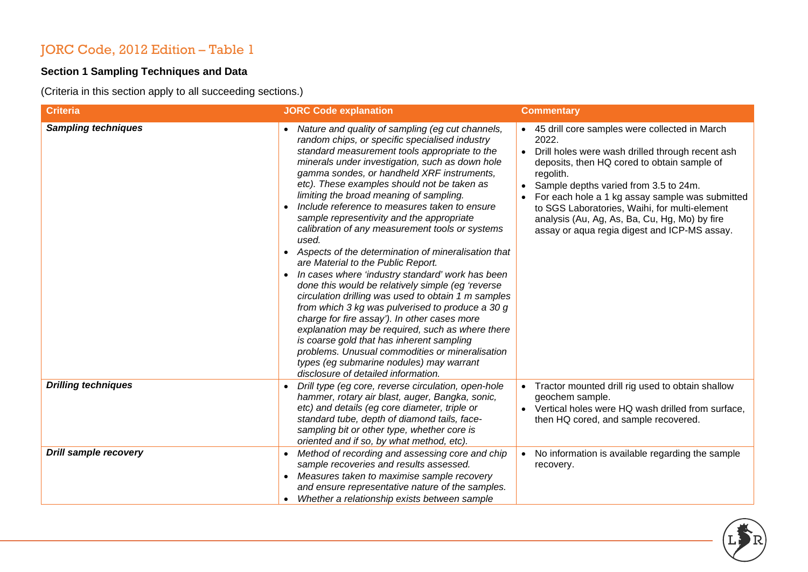# JORC Code, 2012 Edition – Table 1

### **Section 1 Sampling Techniques and Data**

(Criteria in this section apply to all succeeding sections.)

| <b>Criteria</b>              | <b>JORC Code explanation</b>                                                                                                                                                                                                                                                                                                                                                                                                                                                                                                                                                                                                                                                                                                                                                                                                                                                                                                                                                                                                                                                                                                  | <b>Commentary</b>                                                                                                                                                                                                                                                                                                                                                                                                                                |
|------------------------------|-------------------------------------------------------------------------------------------------------------------------------------------------------------------------------------------------------------------------------------------------------------------------------------------------------------------------------------------------------------------------------------------------------------------------------------------------------------------------------------------------------------------------------------------------------------------------------------------------------------------------------------------------------------------------------------------------------------------------------------------------------------------------------------------------------------------------------------------------------------------------------------------------------------------------------------------------------------------------------------------------------------------------------------------------------------------------------------------------------------------------------|--------------------------------------------------------------------------------------------------------------------------------------------------------------------------------------------------------------------------------------------------------------------------------------------------------------------------------------------------------------------------------------------------------------------------------------------------|
| <b>Sampling techniques</b>   | Nature and quality of sampling (eg cut channels,<br>random chips, or specific specialised industry<br>standard measurement tools appropriate to the<br>minerals under investigation, such as down hole<br>gamma sondes, or handheld XRF instruments,<br>etc). These examples should not be taken as<br>limiting the broad meaning of sampling.<br>Include reference to measures taken to ensure<br>sample representivity and the appropriate<br>calibration of any measurement tools or systems<br>used.<br>Aspects of the determination of mineralisation that<br>$\bullet$<br>are Material to the Public Report.<br>In cases where 'industry standard' work has been<br>done this would be relatively simple (eg 'reverse<br>circulation drilling was used to obtain 1 m samples<br>from which 3 kg was pulverised to produce a 30 g<br>charge for fire assay'). In other cases more<br>explanation may be required, such as where there<br>is coarse gold that has inherent sampling<br>problems. Unusual commodities or mineralisation<br>types (eg submarine nodules) may warrant<br>disclosure of detailed information. | • 45 drill core samples were collected in March<br>2022.<br>Drill holes were wash drilled through recent ash<br>$\bullet$<br>deposits, then HQ cored to obtain sample of<br>regolith.<br>Sample depths varied from 3.5 to 24m.<br>$\bullet$<br>For each hole a 1 kg assay sample was submitted<br>to SGS Laboratories, Waihi, for multi-element<br>analysis (Au, Ag, As, Ba, Cu, Hg, Mo) by fire<br>assay or aqua regia digest and ICP-MS assay. |
| <b>Drilling techniques</b>   | Drill type (eg core, reverse circulation, open-hole<br>hammer, rotary air blast, auger, Bangka, sonic,<br>etc) and details (eg core diameter, triple or<br>standard tube, depth of diamond tails, face-<br>sampling bit or other type, whether core is<br>oriented and if so, by what method, etc).                                                                                                                                                                                                                                                                                                                                                                                                                                                                                                                                                                                                                                                                                                                                                                                                                           | Tractor mounted drill rig used to obtain shallow<br>$\bullet$<br>geochem sample.<br>Vertical holes were HQ wash drilled from surface,<br>then HQ cored, and sample recovered.                                                                                                                                                                                                                                                                    |
| <b>Drill sample recovery</b> | Method of recording and assessing core and chip<br>sample recoveries and results assessed.<br>Measures taken to maximise sample recovery<br>and ensure representative nature of the samples.<br>Whether a relationship exists between sample                                                                                                                                                                                                                                                                                                                                                                                                                                                                                                                                                                                                                                                                                                                                                                                                                                                                                  | No information is available regarding the sample<br>$\bullet$<br>recovery.                                                                                                                                                                                                                                                                                                                                                                       |

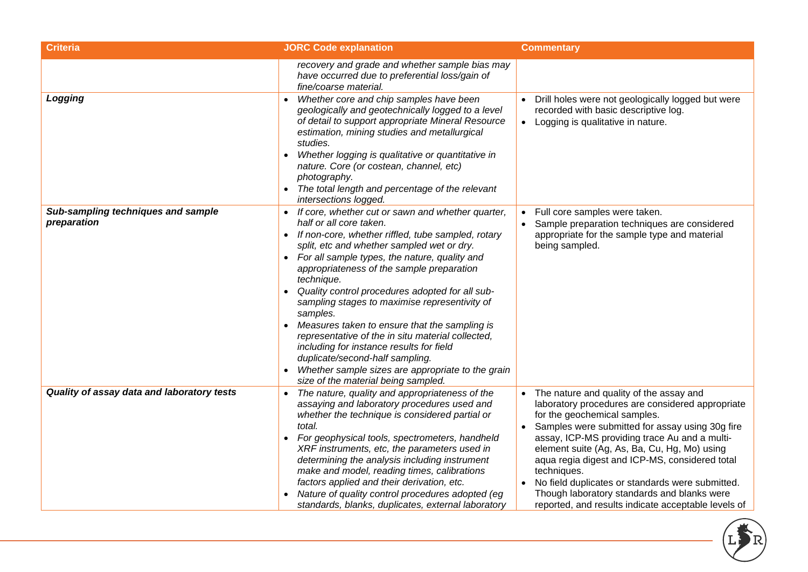| <b>Criteria</b>                                   | <b>JORC Code explanation</b>                                                                                                                                                                                                                                                                                                                                                                                                                                                                                                                                                                                                                                                                                            | <b>Commentary</b>                                                                                                                                                                                                                                                                                                                                                                                                                                                                                                       |
|---------------------------------------------------|-------------------------------------------------------------------------------------------------------------------------------------------------------------------------------------------------------------------------------------------------------------------------------------------------------------------------------------------------------------------------------------------------------------------------------------------------------------------------------------------------------------------------------------------------------------------------------------------------------------------------------------------------------------------------------------------------------------------------|-------------------------------------------------------------------------------------------------------------------------------------------------------------------------------------------------------------------------------------------------------------------------------------------------------------------------------------------------------------------------------------------------------------------------------------------------------------------------------------------------------------------------|
|                                                   | recovery and grade and whether sample bias may<br>have occurred due to preferential loss/gain of<br>fine/coarse material.                                                                                                                                                                                                                                                                                                                                                                                                                                                                                                                                                                                               |                                                                                                                                                                                                                                                                                                                                                                                                                                                                                                                         |
| Logging                                           | Whether core and chip samples have been<br>geologically and geotechnically logged to a level<br>of detail to support appropriate Mineral Resource<br>estimation, mining studies and metallurgical<br>studies.<br>Whether logging is qualitative or quantitative in<br>$\bullet$<br>nature. Core (or costean, channel, etc)<br>photography.<br>The total length and percentage of the relevant<br>intersections logged.                                                                                                                                                                                                                                                                                                  | Drill holes were not geologically logged but were<br>recorded with basic descriptive log.<br>• Logging is qualitative in nature.                                                                                                                                                                                                                                                                                                                                                                                        |
| Sub-sampling techniques and sample<br>preparation | If core, whether cut or sawn and whether quarter,<br>$\bullet$<br>half or all core taken.<br>If non-core, whether riffled, tube sampled, rotary<br>$\bullet$<br>split, etc and whether sampled wet or dry.<br>For all sample types, the nature, quality and<br>appropriateness of the sample preparation<br>technique.<br>Quality control procedures adopted for all sub-<br>sampling stages to maximise representivity of<br>samples.<br>Measures taken to ensure that the sampling is<br>representative of the in situ material collected,<br>including for instance results for field<br>duplicate/second-half sampling.<br>Whether sample sizes are appropriate to the grain<br>size of the material being sampled. | Full core samples were taken.<br>$\bullet$<br>Sample preparation techniques are considered<br>appropriate for the sample type and material<br>being sampled.                                                                                                                                                                                                                                                                                                                                                            |
| Quality of assay data and laboratory tests        | The nature, quality and appropriateness of the<br>assaying and laboratory procedures used and<br>whether the technique is considered partial or<br>total.<br>For geophysical tools, spectrometers, handheld<br>XRF instruments, etc, the parameters used in<br>determining the analysis including instrument<br>make and model, reading times, calibrations<br>factors applied and their derivation, etc.<br>Nature of quality control procedures adopted (eg<br>standards, blanks, duplicates, external laboratory                                                                                                                                                                                                     | The nature and quality of the assay and<br>laboratory procedures are considered appropriate<br>for the geochemical samples.<br>Samples were submitted for assay using 30g fire<br>assay, ICP-MS providing trace Au and a multi-<br>element suite (Ag, As, Ba, Cu, Hg, Mo) using<br>aqua regia digest and ICP-MS, considered total<br>techniques.<br>No field duplicates or standards were submitted.<br>$\bullet$<br>Though laboratory standards and blanks were<br>reported, and results indicate acceptable levels of |

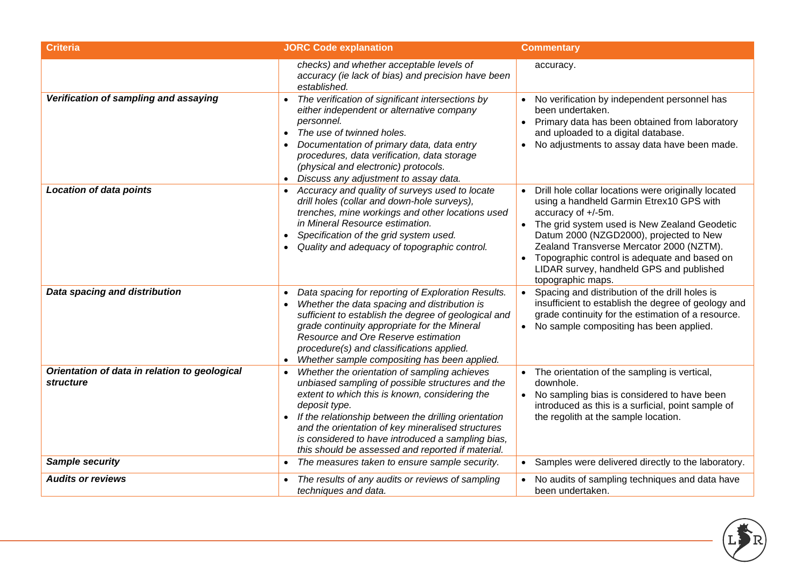| <b>Criteria</b>                                            | <b>JORC Code explanation</b>                                                                                                                                                                                                                                                                                                                                                                            | <b>Commentary</b>                                                                                                                                                                                                                                                                                                                                                                          |
|------------------------------------------------------------|---------------------------------------------------------------------------------------------------------------------------------------------------------------------------------------------------------------------------------------------------------------------------------------------------------------------------------------------------------------------------------------------------------|--------------------------------------------------------------------------------------------------------------------------------------------------------------------------------------------------------------------------------------------------------------------------------------------------------------------------------------------------------------------------------------------|
|                                                            | checks) and whether acceptable levels of<br>accuracy (ie lack of bias) and precision have been<br>established.                                                                                                                                                                                                                                                                                          | accuracy.                                                                                                                                                                                                                                                                                                                                                                                  |
| Verification of sampling and assaying                      | The verification of significant intersections by<br>$\bullet$<br>either independent or alternative company<br>personnel.<br>The use of twinned holes.<br>Documentation of primary data, data entry<br>procedures, data verification, data storage<br>(physical and electronic) protocols.<br>Discuss any adjustment to assay data.                                                                      | No verification by independent personnel has<br>been undertaken.<br>Primary data has been obtained from laboratory<br>$\bullet$<br>and uploaded to a digital database.<br>No adjustments to assay data have been made.<br>$\bullet$                                                                                                                                                        |
| <b>Location of data points</b>                             | Accuracy and quality of surveys used to locate<br>drill holes (collar and down-hole surveys),<br>trenches, mine workings and other locations used<br>in Mineral Resource estimation.<br>Specification of the grid system used.<br>Quality and adequacy of topographic control.                                                                                                                          | Drill hole collar locations were originally located<br>using a handheld Garmin Etrex10 GPS with<br>accuracy of +/-5m.<br>The grid system used is New Zealand Geodetic<br>Datum 2000 (NZGD2000), projected to New<br>Zealand Transverse Mercator 2000 (NZTM).<br>Topographic control is adequate and based on<br>$\bullet$<br>LIDAR survey, handheld GPS and published<br>topographic maps. |
| Data spacing and distribution                              | Data spacing for reporting of Exploration Results.<br>Whether the data spacing and distribution is<br>sufficient to establish the degree of geological and<br>grade continuity appropriate for the Mineral<br>Resource and Ore Reserve estimation<br>procedure(s) and classifications applied.<br>Whether sample compositing has been applied.<br>$\bullet$                                             | Spacing and distribution of the drill holes is<br>insufficient to establish the degree of geology and<br>grade continuity for the estimation of a resource.<br>No sample compositing has been applied.<br>$\bullet$                                                                                                                                                                        |
| Orientation of data in relation to geological<br>structure | Whether the orientation of sampling achieves<br>$\bullet$<br>unbiased sampling of possible structures and the<br>extent to which this is known, considering the<br>deposit type.<br>If the relationship between the drilling orientation<br>and the orientation of key mineralised structures<br>is considered to have introduced a sampling bias,<br>this should be assessed and reported if material. | • The orientation of the sampling is vertical,<br>downhole.<br>No sampling bias is considered to have been<br>introduced as this is a surficial, point sample of<br>the regolith at the sample location.                                                                                                                                                                                   |
| Sample security                                            | The measures taken to ensure sample security.                                                                                                                                                                                                                                                                                                                                                           | Samples were delivered directly to the laboratory.                                                                                                                                                                                                                                                                                                                                         |
| <b>Audits or reviews</b>                                   | The results of any audits or reviews of sampling<br>techniques and data.                                                                                                                                                                                                                                                                                                                                | No audits of sampling techniques and data have<br>been undertaken.                                                                                                                                                                                                                                                                                                                         |

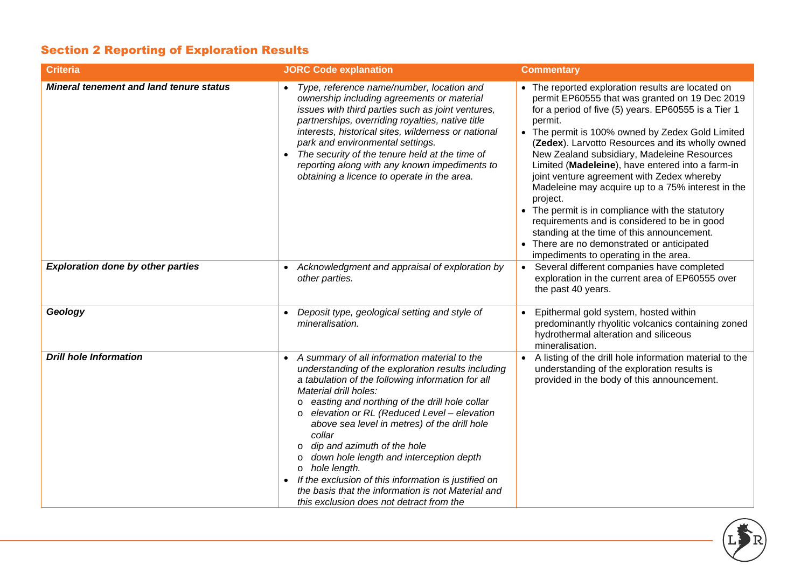# Section 2 Reporting of Exploration Results

| <b>Criteria</b>                                | <b>JORC Code explanation</b>                                                                                                                                                                                                                                                                                                                                                                                                                                                                                                                                                                                                          | <b>Commentary</b>                                                                                                                                                                                                                                                                                                                                                                                                                                                                                                                                                                                                                                                                                                                        |
|------------------------------------------------|---------------------------------------------------------------------------------------------------------------------------------------------------------------------------------------------------------------------------------------------------------------------------------------------------------------------------------------------------------------------------------------------------------------------------------------------------------------------------------------------------------------------------------------------------------------------------------------------------------------------------------------|------------------------------------------------------------------------------------------------------------------------------------------------------------------------------------------------------------------------------------------------------------------------------------------------------------------------------------------------------------------------------------------------------------------------------------------------------------------------------------------------------------------------------------------------------------------------------------------------------------------------------------------------------------------------------------------------------------------------------------------|
| <b>Mineral tenement and land tenure status</b> | Type, reference name/number, location and<br>ownership including agreements or material<br>issues with third parties such as joint ventures,<br>partnerships, overriding royalties, native title<br>interests, historical sites, wilderness or national<br>park and environmental settings.<br>The security of the tenure held at the time of<br>reporting along with any known impediments to<br>obtaining a licence to operate in the area.                                                                                                                                                                                         | • The reported exploration results are located on<br>permit EP60555 that was granted on 19 Dec 2019<br>for a period of five (5) years. EP60555 is a Tier 1<br>permit.<br>• The permit is 100% owned by Zedex Gold Limited<br>(Zedex). Larvotto Resources and its wholly owned<br>New Zealand subsidiary, Madeleine Resources<br>Limited (Madeleine), have entered into a farm-in<br>joint venture agreement with Zedex whereby<br>Madeleine may acquire up to a 75% interest in the<br>project.<br>• The permit is in compliance with the statutory<br>requirements and is considered to be in good<br>standing at the time of this announcement.<br>• There are no demonstrated or anticipated<br>impediments to operating in the area. |
| <b>Exploration done by other parties</b>       | Acknowledgment and appraisal of exploration by<br>other parties.                                                                                                                                                                                                                                                                                                                                                                                                                                                                                                                                                                      | Several different companies have completed<br>exploration in the current area of EP60555 over<br>the past 40 years.                                                                                                                                                                                                                                                                                                                                                                                                                                                                                                                                                                                                                      |
| Geology                                        | Deposit type, geological setting and style of<br>mineralisation.                                                                                                                                                                                                                                                                                                                                                                                                                                                                                                                                                                      | Epithermal gold system, hosted within<br>predominantly rhyolitic volcanics containing zoned<br>hydrothermal alteration and siliceous<br>mineralisation.                                                                                                                                                                                                                                                                                                                                                                                                                                                                                                                                                                                  |
| <b>Drill hole Information</b>                  | A summary of all information material to the<br>understanding of the exploration results including<br>a tabulation of the following information for all<br>Material drill holes:<br>easting and northing of the drill hole collar<br>$\circ$<br>elevation or RL (Reduced Level - elevation<br>$\circ$<br>above sea level in metres) of the drill hole<br>collar<br>dip and azimuth of the hole<br>$\circ$<br>down hole length and interception depth<br>O<br>o hole length.<br>If the exclusion of this information is justified on<br>the basis that the information is not Material and<br>this exclusion does not detract from the | A listing of the drill hole information material to the<br>understanding of the exploration results is<br>provided in the body of this announcement.                                                                                                                                                                                                                                                                                                                                                                                                                                                                                                                                                                                     |

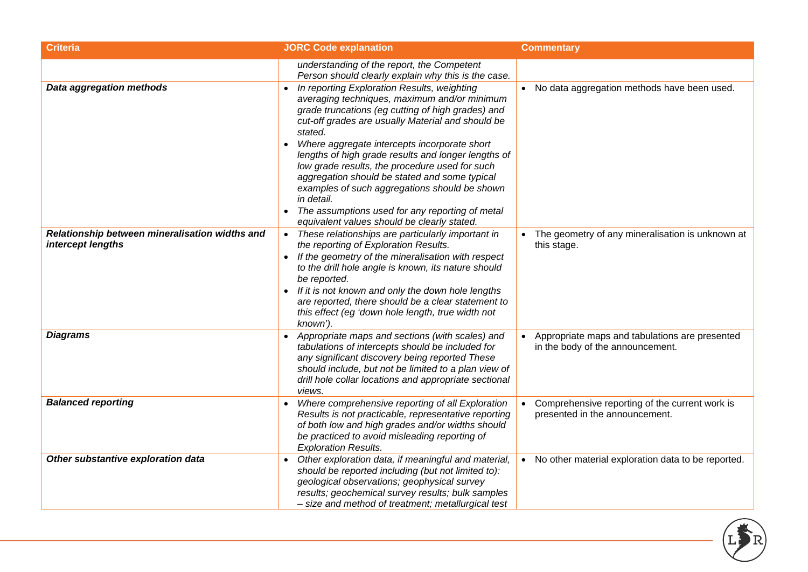| <b>Criteria</b>                                                     | <b>JORC Code explanation</b>                                                                                                                                                                                                                                                                                                                                                                                                                                                                                                                                                                | <b>Commentary</b>                                                                  |
|---------------------------------------------------------------------|---------------------------------------------------------------------------------------------------------------------------------------------------------------------------------------------------------------------------------------------------------------------------------------------------------------------------------------------------------------------------------------------------------------------------------------------------------------------------------------------------------------------------------------------------------------------------------------------|------------------------------------------------------------------------------------|
|                                                                     | understanding of the report, the Competent<br>Person should clearly explain why this is the case.                                                                                                                                                                                                                                                                                                                                                                                                                                                                                           |                                                                                    |
| <b>Data aggregation methods</b>                                     | In reporting Exploration Results, weighting<br>averaging techniques, maximum and/or minimum<br>grade truncations (eg cutting of high grades) and<br>cut-off grades are usually Material and should be<br>stated.<br>Where aggregate intercepts incorporate short<br>lengths of high grade results and longer lengths of<br>low grade results, the procedure used for such<br>aggregation should be stated and some typical<br>examples of such aggregations should be shown<br>in detail.<br>The assumptions used for any reporting of metal<br>equivalent values should be clearly stated. | • No data aggregation methods have been used.                                      |
| Relationship between mineralisation widths and<br>intercept lengths | These relationships are particularly important in<br>the reporting of Exploration Results.<br>• If the geometry of the mineralisation with respect<br>to the drill hole angle is known, its nature should<br>be reported.<br>If it is not known and only the down hole lengths<br>are reported, there should be a clear statement to<br>this effect (eg 'down hole length, true width not<br>known').                                                                                                                                                                                       | The geometry of any mineralisation is unknown at<br>this stage.                    |
| <b>Diagrams</b>                                                     | Appropriate maps and sections (with scales) and<br>tabulations of intercepts should be included for<br>any significant discovery being reported These<br>should include, but not be limited to a plan view of<br>drill hole collar locations and appropriate sectional<br>views.                                                                                                                                                                                                                                                                                                            | Appropriate maps and tabulations are presented<br>in the body of the announcement. |
| <b>Balanced reporting</b>                                           | Where comprehensive reporting of all Exploration<br>Results is not practicable, representative reporting<br>of both low and high grades and/or widths should<br>be practiced to avoid misleading reporting of<br><b>Exploration Results.</b>                                                                                                                                                                                                                                                                                                                                                | Comprehensive reporting of the current work is<br>presented in the announcement.   |
| Other substantive exploration data                                  | Other exploration data, if meaningful and material,<br>should be reported including (but not limited to):<br>geological observations; geophysical survey<br>results; geochemical survey results; bulk samples<br>- size and method of treatment; metallurgical test                                                                                                                                                                                                                                                                                                                         | • No other material exploration data to be reported.                               |